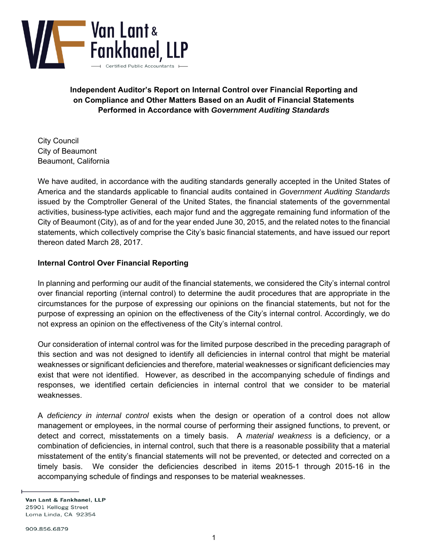

**Independent Auditor's Report on Internal Control over Financial Reporting and on Compliance and Other Matters Based on an Audit of Financial Statements Performed in Accordance with** *Government Auditing Standards* 

City Council City of Beaumont Beaumont, California

We have audited, in accordance with the auditing standards generally accepted in the United States of America and the standards applicable to financial audits contained in *Government Auditing Standards*  issued by the Comptroller General of the United States, the financial statements of the governmental activities, business-type activities, each major fund and the aggregate remaining fund information of the City of Beaumont (City), as of and for the year ended June 30, 2015, and the related notes to the financial statements, which collectively comprise the City's basic financial statements, and have issued our report thereon dated March 28, 2017.

# **Internal Control Over Financial Reporting**

In planning and performing our audit of the financial statements, we considered the City's internal control over financial reporting (internal control) to determine the audit procedures that are appropriate in the circumstances for the purpose of expressing our opinions on the financial statements, but not for the purpose of expressing an opinion on the effectiveness of the City's internal control. Accordingly, we do not express an opinion on the effectiveness of the City's internal control.

Our consideration of internal control was for the limited purpose described in the preceding paragraph of this section and was not designed to identify all deficiencies in internal control that might be material weaknesses or significant deficiencies and therefore, material weaknesses or significant deficiencies may exist that were not identified. However, as described in the accompanying schedule of findings and responses, we identified certain deficiencies in internal control that we consider to be material weaknesses.

A *deficiency in internal control* exists when the design or operation of a control does not allow management or employees, in the normal course of performing their assigned functions, to prevent, or detect and correct, misstatements on a timely basis. A *material weakness* is a deficiency, or a combination of deficiencies, in internal control, such that there is a reasonable possibility that a material misstatement of the entity's financial statements will not be prevented, or detected and corrected on a timely basis. We consider the deficiencies described in items 2015-1 through 2015-16 in the accompanying schedule of findings and responses to be material weaknesses.

Van Lant & Fankhanel, LLP 25901 Kellogg Street Loma Linda, CA 92354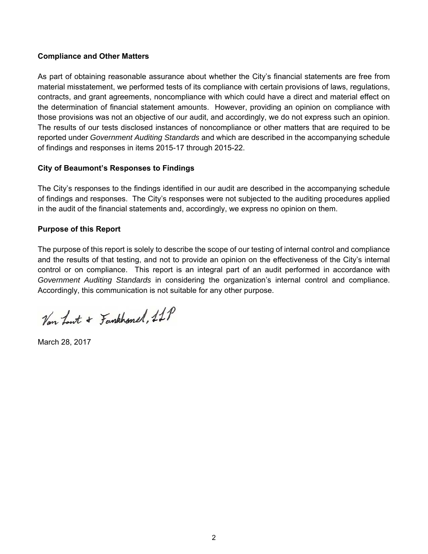# **Compliance and Other Matters**

As part of obtaining reasonable assurance about whether the City's financial statements are free from material misstatement, we performed tests of its compliance with certain provisions of laws, regulations, contracts, and grant agreements, noncompliance with which could have a direct and material effect on the determination of financial statement amounts. However, providing an opinion on compliance with those provisions was not an objective of our audit, and accordingly, we do not express such an opinion. The results of our tests disclosed instances of noncompliance or other matters that are required to be reported under *Government Auditing Standards* and which are described in the accompanying schedule of findings and responses in items 2015-17 through 2015-22.

# **City of Beaumont's Responses to Findings**

The City's responses to the findings identified in our audit are described in the accompanying schedule of findings and responses. The City's responses were not subjected to the auditing procedures applied in the audit of the financial statements and, accordingly, we express no opinion on them.

# **Purpose of this Report**

The purpose of this report is solely to describe the scope of our testing of internal control and compliance and the results of that testing, and not to provide an opinion on the effectiveness of the City's internal control or on compliance. This report is an integral part of an audit performed in accordance with *Government Auditing Standards* in considering the organization's internal control and compliance. Accordingly, this communication is not suitable for any other purpose.

Van Lant + Fankhonel, 11P

March 28, 2017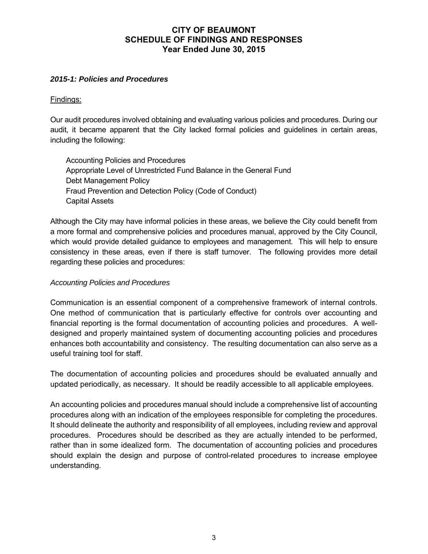## *2015-1: Policies and Procedures*

## Findings:

Our audit procedures involved obtaining and evaluating various policies and procedures. During our audit, it became apparent that the City lacked formal policies and guidelines in certain areas, including the following:

Accounting Policies and Procedures Appropriate Level of Unrestricted Fund Balance in the General Fund Debt Management Policy Fraud Prevention and Detection Policy (Code of Conduct) Capital Assets

Although the City may have informal policies in these areas, we believe the City could benefit from a more formal and comprehensive policies and procedures manual, approved by the City Council, which would provide detailed guidance to employees and management. This will help to ensure consistency in these areas, even if there is staff turnover. The following provides more detail regarding these policies and procedures:

# *Accounting Policies and Procedures*

Communication is an essential component of a comprehensive framework of internal controls. One method of communication that is particularly effective for controls over accounting and financial reporting is the formal documentation of accounting policies and procedures. A welldesigned and properly maintained system of documenting accounting policies and procedures enhances both accountability and consistency. The resulting documentation can also serve as a useful training tool for staff.

The documentation of accounting policies and procedures should be evaluated annually and updated periodically, as necessary. It should be readily accessible to all applicable employees.

An accounting policies and procedures manual should include a comprehensive list of accounting procedures along with an indication of the employees responsible for completing the procedures. It should delineate the authority and responsibility of all employees, including review and approval procedures. Procedures should be described as they are actually intended to be performed, rather than in some idealized form. The documentation of accounting policies and procedures should explain the design and purpose of control-related procedures to increase employee understanding.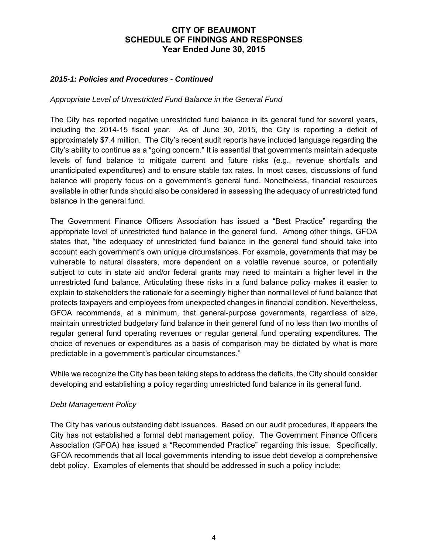# *2015-1: Policies and Procedures - Continued*

## *Appropriate Level of Unrestricted Fund Balance in the General Fund*

The City has reported negative unrestricted fund balance in its general fund for several years, including the 2014-15 fiscal year. As of June 30, 2015, the City is reporting a deficit of approximately \$7.4 million. The City's recent audit reports have included language regarding the City's ability to continue as a "going concern." It is essential that governments maintain adequate levels of fund balance to mitigate current and future risks (e.g., revenue shortfalls and unanticipated expenditures) and to ensure stable tax rates. In most cases, discussions of fund balance will properly focus on a government's general fund. Nonetheless, financial resources available in other funds should also be considered in assessing the adequacy of unrestricted fund balance in the general fund.

The Government Finance Officers Association has issued a "Best Practice" regarding the appropriate level of unrestricted fund balance in the general fund. Among other things, GFOA states that, "the adequacy of unrestricted fund balance in the general fund should take into account each government's own unique circumstances. For example, governments that may be vulnerable to natural disasters, more dependent on a volatile revenue source, or potentially subject to cuts in state aid and/or federal grants may need to maintain a higher level in the unrestricted fund balance. Articulating these risks in a fund balance policy makes it easier to explain to stakeholders the rationale for a seemingly higher than normal level of fund balance that protects taxpayers and employees from unexpected changes in financial condition. Nevertheless, GFOA recommends, at a minimum, that general-purpose governments, regardless of size, maintain unrestricted budgetary fund balance in their general fund of no less than two months of regular general fund operating revenues or regular general fund operating expenditures. The choice of revenues or expenditures as a basis of comparison may be dictated by what is more predictable in a government's particular circumstances."

While we recognize the City has been taking steps to address the deficits, the City should consider developing and establishing a policy regarding unrestricted fund balance in its general fund.

# *Debt Management Policy*

The City has various outstanding debt issuances. Based on our audit procedures, it appears the City has not established a formal debt management policy. The Government Finance Officers Association (GFOA) has issued a "Recommended Practice" regarding this issue. Specifically, GFOA recommends that all local governments intending to issue debt develop a comprehensive debt policy. Examples of elements that should be addressed in such a policy include: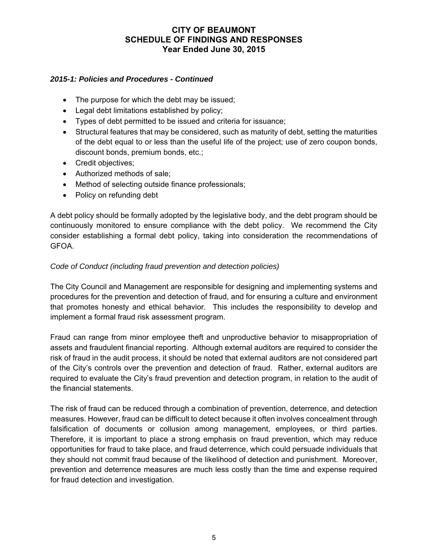# *2015-1: Policies and Procedures - Continued*

- The purpose for which the debt may be issued;
- Legal debt limitations established by policy;
- Types of debt permitted to be issued and criteria for issuance;
- Structural features that may be considered, such as maturity of debt, setting the maturities of the debt equal to or less than the useful life of the project; use of zero coupon bonds, discount bonds, premium bonds, etc.;
- Credit objectives;
- Authorized methods of sale;
- Method of selecting outside finance professionals;
- Policy on refunding debt

A debt policy should be formally adopted by the legislative body, and the debt program should be continuously monitored to ensure compliance with the debt policy. We recommend the City consider establishing a formal debt policy, taking into consideration the recommendations of GFOA.

# *Code of Conduct (including fraud prevention and detection policies)*

The City Council and Management are responsible for designing and implementing systems and procedures for the prevention and detection of fraud, and for ensuring a culture and environment that promotes honesty and ethical behavior. This includes the responsibility to develop and implement a formal fraud risk assessment program.

Fraud can range from minor employee theft and unproductive behavior to misappropriation of assets and fraudulent financial reporting. Although external auditors are required to consider the risk of fraud in the audit process, it should be noted that external auditors are not considered part of the City's controls over the prevention and detection of fraud. Rather, external auditors are required to evaluate the City's fraud prevention and detection program, in relation to the audit of the financial statements.

The risk of fraud can be reduced through a combination of prevention, deterrence, and detection measures. However, fraud can be difficult to detect because it often involves concealment through falsification of documents or collusion among management, employees, or third parties. Therefore, it is important to place a strong emphasis on fraud prevention, which may reduce opportunities for fraud to take place, and fraud deterrence, which could persuade individuals that they should not commit fraud because of the likelihood of detection and punishment. Moreover, prevention and deterrence measures are much less costly than the time and expense required for fraud detection and investigation.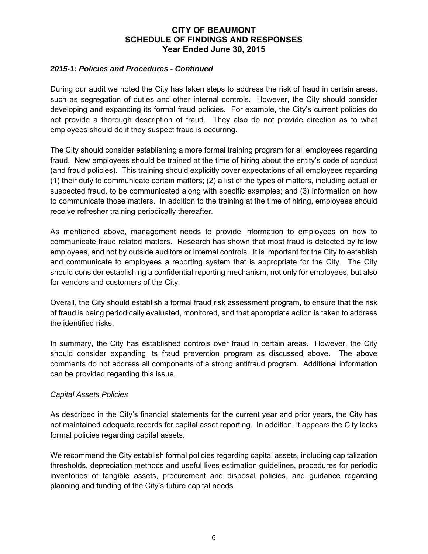## *2015-1: Policies and Procedures - Continued*

During our audit we noted the City has taken steps to address the risk of fraud in certain areas, such as segregation of duties and other internal controls. However, the City should consider developing and expanding its formal fraud policies. For example, the City's current policies do not provide a thorough description of fraud. They also do not provide direction as to what employees should do if they suspect fraud is occurring.

The City should consider establishing a more formal training program for all employees regarding fraud. New employees should be trained at the time of hiring about the entity's code of conduct (and fraud policies). This training should explicitly cover expectations of all employees regarding (1) their duty to communicate certain matters; (2) a list of the types of matters, including actual or suspected fraud, to be communicated along with specific examples; and (3) information on how to communicate those matters. In addition to the training at the time of hiring, employees should receive refresher training periodically thereafter.

As mentioned above, management needs to provide information to employees on how to communicate fraud related matters. Research has shown that most fraud is detected by fellow employees, and not by outside auditors or internal controls. It is important for the City to establish and communicate to employees a reporting system that is appropriate for the City. The City should consider establishing a confidential reporting mechanism, not only for employees, but also for vendors and customers of the City.

Overall, the City should establish a formal fraud risk assessment program, to ensure that the risk of fraud is being periodically evaluated, monitored, and that appropriate action is taken to address the identified risks.

In summary, the City has established controls over fraud in certain areas. However, the City should consider expanding its fraud prevention program as discussed above. The above comments do not address all components of a strong antifraud program. Additional information can be provided regarding this issue.

# *Capital Assets Policies*

As described in the City's financial statements for the current year and prior years, the City has not maintained adequate records for capital asset reporting. In addition, it appears the City lacks formal policies regarding capital assets.

We recommend the City establish formal policies regarding capital assets, including capitalization thresholds, depreciation methods and useful lives estimation guidelines, procedures for periodic inventories of tangible assets, procurement and disposal policies, and guidance regarding planning and funding of the City's future capital needs.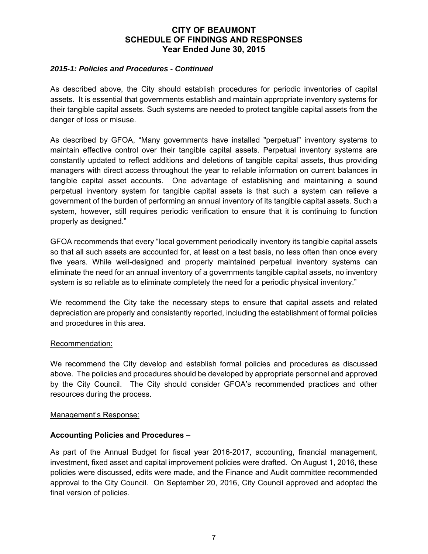### *2015-1: Policies and Procedures - Continued*

As described above, the City should establish procedures for periodic inventories of capital assets. It is essential that governments establish and maintain appropriate inventory systems for their tangible capital assets. Such systems are needed to protect tangible capital assets from the danger of loss or misuse.

As described by GFOA, "Many governments have installed "perpetual" inventory systems to maintain effective control over their tangible capital assets. Perpetual inventory systems are constantly updated to reflect additions and deletions of tangible capital assets, thus providing managers with direct access throughout the year to reliable information on current balances in tangible capital asset accounts. One advantage of establishing and maintaining a sound perpetual inventory system for tangible capital assets is that such a system can relieve a government of the burden of performing an annual inventory of its tangible capital assets. Such a system, however, still requires periodic verification to ensure that it is continuing to function properly as designed."

GFOA recommends that every "local government periodically inventory its tangible capital assets so that all such assets are accounted for, at least on a test basis, no less often than once every five years. While well-designed and properly maintained perpetual inventory systems can eliminate the need for an annual inventory of a governments tangible capital assets, no inventory system is so reliable as to eliminate completely the need for a periodic physical inventory."

We recommend the City take the necessary steps to ensure that capital assets and related depreciation are properly and consistently reported, including the establishment of formal policies and procedures in this area.

#### Recommendation:

We recommend the City develop and establish formal policies and procedures as discussed above. The policies and procedures should be developed by appropriate personnel and approved by the City Council. The City should consider GFOA's recommended practices and other resources during the process.

#### Management's Response:

# **Accounting Policies and Procedures –**

As part of the Annual Budget for fiscal year 2016-2017, accounting, financial management, investment, fixed asset and capital improvement policies were drafted. On August 1, 2016, these policies were discussed, edits were made, and the Finance and Audit committee recommended approval to the City Council. On September 20, 2016, City Council approved and adopted the final version of policies.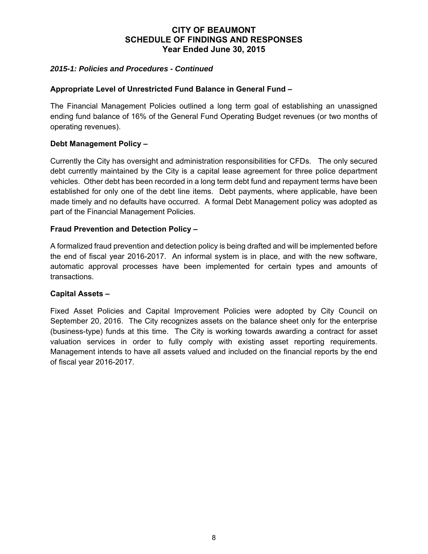## *2015-1: Policies and Procedures - Continued*

# **Appropriate Level of Unrestricted Fund Balance in General Fund –**

The Financial Management Policies outlined a long term goal of establishing an unassigned ending fund balance of 16% of the General Fund Operating Budget revenues (or two months of operating revenues).

# **Debt Management Policy –**

Currently the City has oversight and administration responsibilities for CFDs. The only secured debt currently maintained by the City is a capital lease agreement for three police department vehicles. Other debt has been recorded in a long term debt fund and repayment terms have been established for only one of the debt line items. Debt payments, where applicable, have been made timely and no defaults have occurred. A formal Debt Management policy was adopted as part of the Financial Management Policies.

## **Fraud Prevention and Detection Policy –**

A formalized fraud prevention and detection policy is being drafted and will be implemented before the end of fiscal year 2016-2017. An informal system is in place, and with the new software, automatic approval processes have been implemented for certain types and amounts of transactions.

#### **Capital Assets –**

Fixed Asset Policies and Capital Improvement Policies were adopted by City Council on September 20, 2016. The City recognizes assets on the balance sheet only for the enterprise (business-type) funds at this time. The City is working towards awarding a contract for asset valuation services in order to fully comply with existing asset reporting requirements. Management intends to have all assets valued and included on the financial reports by the end of fiscal year 2016-2017.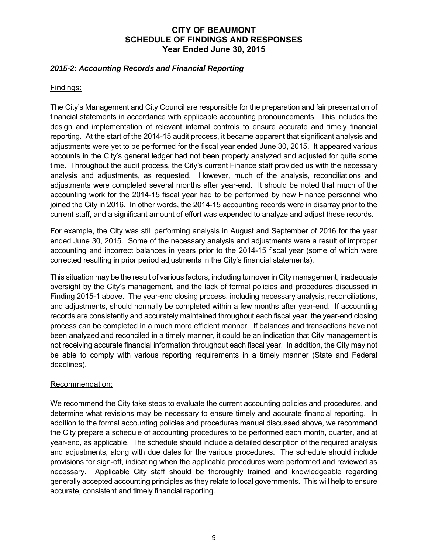## *2015-2: Accounting Records and Financial Reporting*

## Findings:

The City's Management and City Council are responsible for the preparation and fair presentation of financial statements in accordance with applicable accounting pronouncements. This includes the design and implementation of relevant internal controls to ensure accurate and timely financial reporting. At the start of the 2014-15 audit process, it became apparent that significant analysis and adjustments were yet to be performed for the fiscal year ended June 30, 2015. It appeared various accounts in the City's general ledger had not been properly analyzed and adjusted for quite some time. Throughout the audit process, the City's current Finance staff provided us with the necessary analysis and adjustments, as requested. However, much of the analysis, reconciliations and adjustments were completed several months after year-end. It should be noted that much of the accounting work for the 2014-15 fiscal year had to be performed by new Finance personnel who joined the City in 2016. In other words, the 2014-15 accounting records were in disarray prior to the current staff, and a significant amount of effort was expended to analyze and adjust these records.

For example, the City was still performing analysis in August and September of 2016 for the year ended June 30, 2015. Some of the necessary analysis and adjustments were a result of improper accounting and incorrect balances in years prior to the 2014-15 fiscal year (some of which were corrected resulting in prior period adjustments in the City's financial statements).

This situation may be the result of various factors, including turnover in City management, inadequate oversight by the City's management, and the lack of formal policies and procedures discussed in Finding 2015-1 above. The year-end closing process, including necessary analysis, reconciliations, and adjustments, should normally be completed within a few months after year-end. If accounting records are consistently and accurately maintained throughout each fiscal year, the year-end closing process can be completed in a much more efficient manner. If balances and transactions have not been analyzed and reconciled in a timely manner, it could be an indication that City management is not receiving accurate financial information throughout each fiscal year. In addition, the City may not be able to comply with various reporting requirements in a timely manner (State and Federal deadlines).

#### Recommendation:

We recommend the City take steps to evaluate the current accounting policies and procedures, and determine what revisions may be necessary to ensure timely and accurate financial reporting. In addition to the formal accounting policies and procedures manual discussed above, we recommend the City prepare a schedule of accounting procedures to be performed each month, quarter, and at year-end, as applicable. The schedule should include a detailed description of the required analysis and adjustments, along with due dates for the various procedures. The schedule should include provisions for sign-off, indicating when the applicable procedures were performed and reviewed as necessary. Applicable City staff should be thoroughly trained and knowledgeable regarding generally accepted accounting principles as they relate to local governments. This will help to ensure accurate, consistent and timely financial reporting.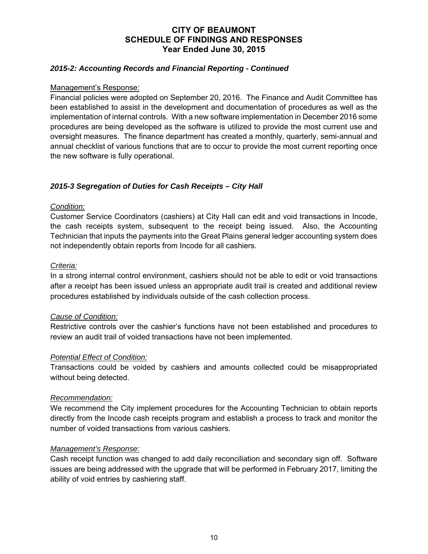## *2015-2: Accounting Records and Financial Reporting - Continued*

#### Management's Response:

Financial policies were adopted on September 20, 2016. The Finance and Audit Committee has been established to assist in the development and documentation of procedures as well as the implementation of internal controls. With a new software implementation in December 2016 some procedures are being developed as the software is utilized to provide the most current use and oversight measures. The finance department has created a monthly, quarterly, semi-annual and annual checklist of various functions that are to occur to provide the most current reporting once the new software is fully operational.

# *2015-3 Segregation of Duties for Cash Receipts – City Hall*

## *Condition:*

Customer Service Coordinators (cashiers) at City Hall can edit and void transactions in Incode, the cash receipts system, subsequent to the receipt being issued. Also, the Accounting Technician that inputs the payments into the Great Plains general ledger accounting system does not independently obtain reports from Incode for all cashiers.

## *Criteria:*

In a strong internal control environment, cashiers should not be able to edit or void transactions after a receipt has been issued unless an appropriate audit trail is created and additional review procedures established by individuals outside of the cash collection process.

# *Cause of Condition:*

Restrictive controls over the cashier's functions have not been established and procedures to review an audit trail of voided transactions have not been implemented.

# *Potential Effect of Condition:*

Transactions could be voided by cashiers and amounts collected could be misappropriated without being detected.

#### *Recommendation:*

We recommend the City implement procedures for the Accounting Technician to obtain reports directly from the Incode cash receipts program and establish a process to track and monitor the number of voided transactions from various cashiers.

#### *Management's Response:*

Cash receipt function was changed to add daily reconciliation and secondary sign off. Software issues are being addressed with the upgrade that will be performed in February 2017, limiting the ability of void entries by cashiering staff.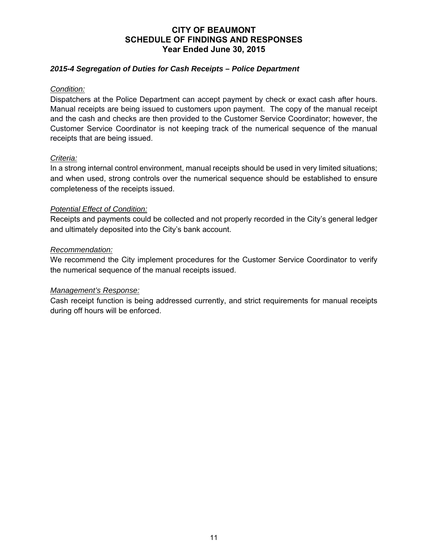## *2015-4 Segregation of Duties for Cash Receipts – Police Department*

## *Condition:*

Dispatchers at the Police Department can accept payment by check or exact cash after hours. Manual receipts are being issued to customers upon payment. The copy of the manual receipt and the cash and checks are then provided to the Customer Service Coordinator; however, the Customer Service Coordinator is not keeping track of the numerical sequence of the manual receipts that are being issued.

# *Criteria:*

In a strong internal control environment, manual receipts should be used in very limited situations; and when used, strong controls over the numerical sequence should be established to ensure completeness of the receipts issued.

## *Potential Effect of Condition:*

Receipts and payments could be collected and not properly recorded in the City's general ledger and ultimately deposited into the City's bank account.

## *Recommendation:*

We recommend the City implement procedures for the Customer Service Coordinator to verify the numerical sequence of the manual receipts issued.

#### *Management's Response:*

Cash receipt function is being addressed currently, and strict requirements for manual receipts during off hours will be enforced.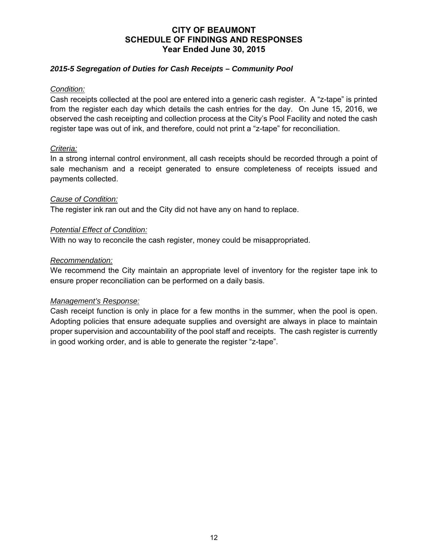## *2015-5 Segregation of Duties for Cash Receipts – Community Pool*

## *Condition:*

Cash receipts collected at the pool are entered into a generic cash register. A "z-tape" is printed from the register each day which details the cash entries for the day. On June 15, 2016, we observed the cash receipting and collection process at the City's Pool Facility and noted the cash register tape was out of ink, and therefore, could not print a "z-tape" for reconciliation.

## *Criteria:*

In a strong internal control environment, all cash receipts should be recorded through a point of sale mechanism and a receipt generated to ensure completeness of receipts issued and payments collected.

## *Cause of Condition:*

The register ink ran out and the City did not have any on hand to replace.

## *Potential Effect of Condition:*

With no way to reconcile the cash register, money could be misappropriated.

## *Recommendation:*

We recommend the City maintain an appropriate level of inventory for the register tape ink to ensure proper reconciliation can be performed on a daily basis.

### *Management's Response:*

Cash receipt function is only in place for a few months in the summer, when the pool is open. Adopting policies that ensure adequate supplies and oversight are always in place to maintain proper supervision and accountability of the pool staff and receipts. The cash register is currently in good working order, and is able to generate the register "z-tape".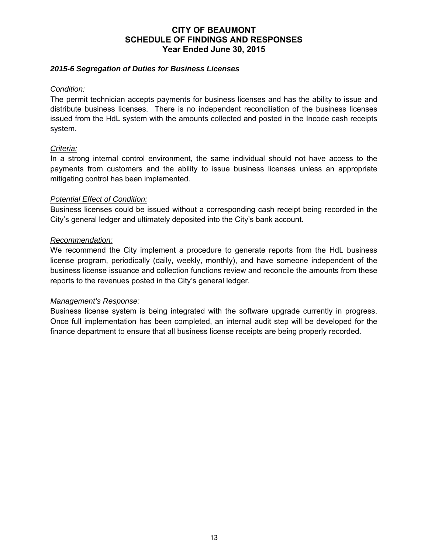### *2015-6 Segregation of Duties for Business Licenses*

## *Condition:*

The permit technician accepts payments for business licenses and has the ability to issue and distribute business licenses. There is no independent reconciliation of the business licenses issued from the HdL system with the amounts collected and posted in the Incode cash receipts system.

# *Criteria:*

In a strong internal control environment, the same individual should not have access to the payments from customers and the ability to issue business licenses unless an appropriate mitigating control has been implemented.

## *Potential Effect of Condition:*

Business licenses could be issued without a corresponding cash receipt being recorded in the City's general ledger and ultimately deposited into the City's bank account.

## *Recommendation:*

We recommend the City implement a procedure to generate reports from the HdL business license program, periodically (daily, weekly, monthly), and have someone independent of the business license issuance and collection functions review and reconcile the amounts from these reports to the revenues posted in the City's general ledger.

### *Management's Response:*

Business license system is being integrated with the software upgrade currently in progress. Once full implementation has been completed, an internal audit step will be developed for the finance department to ensure that all business license receipts are being properly recorded.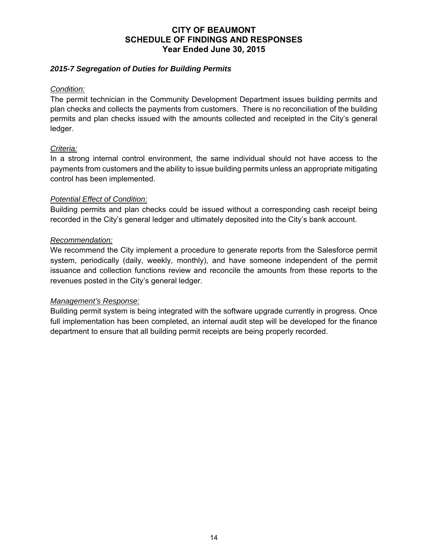## *2015-7 Segregation of Duties for Building Permits*

## *Condition:*

The permit technician in the Community Development Department issues building permits and plan checks and collects the payments from customers. There is no reconciliation of the building permits and plan checks issued with the amounts collected and receipted in the City's general ledger.

# *Criteria:*

In a strong internal control environment, the same individual should not have access to the payments from customers and the ability to issue building permits unless an appropriate mitigating control has been implemented.

## *Potential Effect of Condition:*

Building permits and plan checks could be issued without a corresponding cash receipt being recorded in the City's general ledger and ultimately deposited into the City's bank account.

## *Recommendation:*

We recommend the City implement a procedure to generate reports from the Salesforce permit system, periodically (daily, weekly, monthly), and have someone independent of the permit issuance and collection functions review and reconcile the amounts from these reports to the revenues posted in the City's general ledger.

### *Management's Response:*

Building permit system is being integrated with the software upgrade currently in progress. Once full implementation has been completed, an internal audit step will be developed for the finance department to ensure that all building permit receipts are being properly recorded.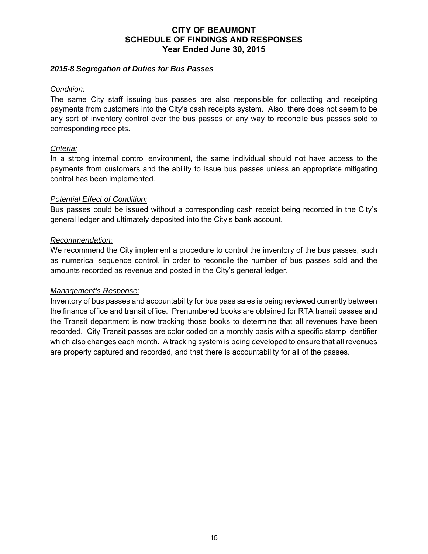### *2015-8 Segregation of Duties for Bus Passes*

## *Condition:*

The same City staff issuing bus passes are also responsible for collecting and receipting payments from customers into the City's cash receipts system. Also, there does not seem to be any sort of inventory control over the bus passes or any way to reconcile bus passes sold to corresponding receipts.

## *Criteria:*

In a strong internal control environment, the same individual should not have access to the payments from customers and the ability to issue bus passes unless an appropriate mitigating control has been implemented.

## *Potential Effect of Condition:*

Bus passes could be issued without a corresponding cash receipt being recorded in the City's general ledger and ultimately deposited into the City's bank account.

## *Recommendation:*

We recommend the City implement a procedure to control the inventory of the bus passes, such as numerical sequence control, in order to reconcile the number of bus passes sold and the amounts recorded as revenue and posted in the City's general ledger.

#### *Management's Response:*

Inventory of bus passes and accountability for bus pass sales is being reviewed currently between the finance office and transit office. Prenumbered books are obtained for RTA transit passes and the Transit department is now tracking those books to determine that all revenues have been recorded. City Transit passes are color coded on a monthly basis with a specific stamp identifier which also changes each month. A tracking system is being developed to ensure that all revenues are properly captured and recorded, and that there is accountability for all of the passes.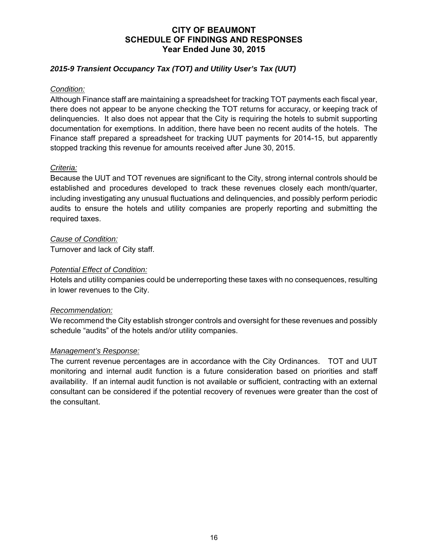# *2015-9 Transient Occupancy Tax (TOT) and Utility User's Tax (UUT)*

# *Condition:*

Although Finance staff are maintaining a spreadsheet for tracking TOT payments each fiscal year, there does not appear to be anyone checking the TOT returns for accuracy, or keeping track of delinquencies. It also does not appear that the City is requiring the hotels to submit supporting documentation for exemptions. In addition, there have been no recent audits of the hotels. The Finance staff prepared a spreadsheet for tracking UUT payments for 2014-15, but apparently stopped tracking this revenue for amounts received after June 30, 2015.

## *Criteria:*

Because the UUT and TOT revenues are significant to the City, strong internal controls should be established and procedures developed to track these revenues closely each month/quarter, including investigating any unusual fluctuations and delinquencies, and possibly perform periodic audits to ensure the hotels and utility companies are properly reporting and submitting the required taxes.

# *Cause of Condition:*

Turnover and lack of City staff.

## *Potential Effect of Condition:*

Hotels and utility companies could be underreporting these taxes with no consequences, resulting in lower revenues to the City.

#### *Recommendation:*

We recommend the City establish stronger controls and oversight for these revenues and possibly schedule "audits" of the hotels and/or utility companies.

#### *Management's Response:*

The current revenue percentages are in accordance with the City Ordinances. TOT and UUT monitoring and internal audit function is a future consideration based on priorities and staff availability. If an internal audit function is not available or sufficient, contracting with an external consultant can be considered if the potential recovery of revenues were greater than the cost of the consultant.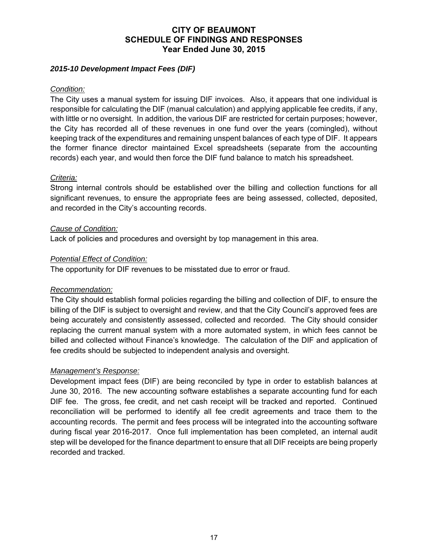## *2015-10 Development Impact Fees (DIF)*

## *Condition:*

The City uses a manual system for issuing DIF invoices. Also, it appears that one individual is responsible for calculating the DIF (manual calculation) and applying applicable fee credits, if any, with little or no oversight. In addition, the various DIF are restricted for certain purposes; however, the City has recorded all of these revenues in one fund over the years (comingled), without keeping track of the expenditures and remaining unspent balances of each type of DIF. It appears the former finance director maintained Excel spreadsheets (separate from the accounting records) each year, and would then force the DIF fund balance to match his spreadsheet.

## *Criteria:*

Strong internal controls should be established over the billing and collection functions for all significant revenues, to ensure the appropriate fees are being assessed, collected, deposited, and recorded in the City's accounting records.

## *Cause of Condition:*

Lack of policies and procedures and oversight by top management in this area.

## *Potential Effect of Condition:*

The opportunity for DIF revenues to be misstated due to error or fraud.

# *Recommendation:*

The City should establish formal policies regarding the billing and collection of DIF, to ensure the billing of the DIF is subject to oversight and review, and that the City Council's approved fees are being accurately and consistently assessed, collected and recorded. The City should consider replacing the current manual system with a more automated system, in which fees cannot be billed and collected without Finance's knowledge. The calculation of the DIF and application of fee credits should be subjected to independent analysis and oversight.

#### *Management's Response:*

Development impact fees (DIF) are being reconciled by type in order to establish balances at June 30, 2016. The new accounting software establishes a separate accounting fund for each DIF fee. The gross, fee credit, and net cash receipt will be tracked and reported. Continued reconciliation will be performed to identify all fee credit agreements and trace them to the accounting records. The permit and fees process will be integrated into the accounting software during fiscal year 2016-2017. Once full implementation has been completed, an internal audit step will be developed for the finance department to ensure that all DIF receipts are being properly recorded and tracked.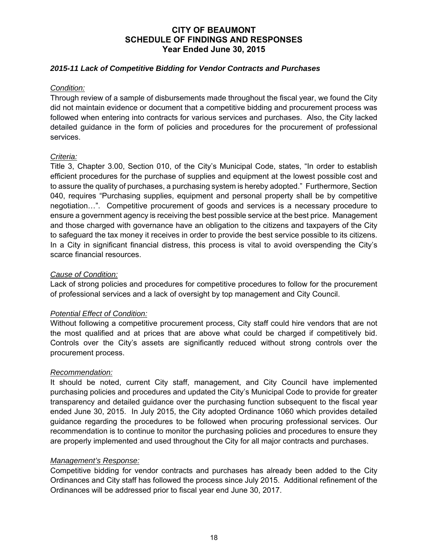## *2015-11 Lack of Competitive Bidding for Vendor Contracts and Purchases*

## *Condition:*

Through review of a sample of disbursements made throughout the fiscal year, we found the City did not maintain evidence or document that a competitive bidding and procurement process was followed when entering into contracts for various services and purchases. Also, the City lacked detailed guidance in the form of policies and procedures for the procurement of professional services.

## *Criteria:*

Title 3, Chapter 3.00, Section 010, of the City's Municipal Code, states, "In order to establish efficient procedures for the purchase of supplies and equipment at the lowest possible cost and to assure the quality of purchases, a purchasing system is hereby adopted." Furthermore, Section 040, requires "Purchasing supplies, equipment and personal property shall be by competitive negotiation…". Competitive procurement of goods and services is a necessary procedure to ensure a government agency is receiving the best possible service at the best price. Management and those charged with governance have an obligation to the citizens and taxpayers of the City to safeguard the tax money it receives in order to provide the best service possible to its citizens. In a City in significant financial distress, this process is vital to avoid overspending the City's scarce financial resources.

## *Cause of Condition:*

Lack of strong policies and procedures for competitive procedures to follow for the procurement of professional services and a lack of oversight by top management and City Council.

# *Potential Effect of Condition:*

Without following a competitive procurement process, City staff could hire vendors that are not the most qualified and at prices that are above what could be charged if competitively bid. Controls over the City's assets are significantly reduced without strong controls over the procurement process.

#### *Recommendation:*

It should be noted, current City staff, management, and City Council have implemented purchasing policies and procedures and updated the City's Municipal Code to provide for greater transparency and detailed guidance over the purchasing function subsequent to the fiscal year ended June 30, 2015. In July 2015, the City adopted Ordinance 1060 which provides detailed guidance regarding the procedures to be followed when procuring professional services. Our recommendation is to continue to monitor the purchasing policies and procedures to ensure they are properly implemented and used throughout the City for all major contracts and purchases.

#### *Management's Response:*

Competitive bidding for vendor contracts and purchases has already been added to the City Ordinances and City staff has followed the process since July 2015. Additional refinement of the Ordinances will be addressed prior to fiscal year end June 30, 2017.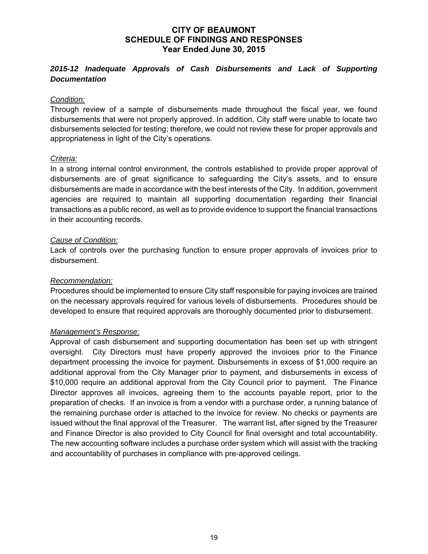# *2015-12 Inadequate Approvals of Cash Disbursements and Lack of Supporting Documentation*

## *Condition:*

Through review of a sample of disbursements made throughout the fiscal year, we found disbursements that were not properly approved. In addition, City staff were unable to locate two disbursements selected for testing; therefore, we could not review these for proper approvals and appropriateness in light of the City's operations.

## *Criteria:*

In a strong internal control environment, the controls established to provide proper approval of disbursements are of great significance to safeguarding the City's assets, and to ensure disbursements are made in accordance with the best interests of the City. In addition, government agencies are required to maintain all supporting documentation regarding their financial transactions as a public record, as well as to provide evidence to support the financial transactions in their accounting records.

## *Cause of Condition:*

Lack of controls over the purchasing function to ensure proper approvals of invoices prior to disbursement.

## *Recommendation:*

Procedures should be implemented to ensure City staff responsible for paying invoices are trained on the necessary approvals required for various levels of disbursements. Procedures should be developed to ensure that required approvals are thoroughly documented prior to disbursement.

# *Management's Response:*

Approval of cash disbursement and supporting documentation has been set up with stringent oversight. City Directors must have properly approved the invoices prior to the Finance department processing the invoice for payment. Disbursements in excess of \$1,000 require an additional approval from the City Manager prior to payment, and disbursements in excess of \$10,000 require an additional approval from the City Council prior to payment. The Finance Director approves all invoices, agreeing them to the accounts payable report, prior to the preparation of checks. If an invoice is from a vendor with a purchase order, a running balance of the remaining purchase order is attached to the invoice for review. No checks or payments are issued without the final approval of the Treasurer. The warrant list, after signed by the Treasurer and Finance Director is also provided to City Council for final oversight and total accountability. The new accounting software includes a purchase order system which will assist with the tracking and accountability of purchases in compliance with pre-approved ceilings.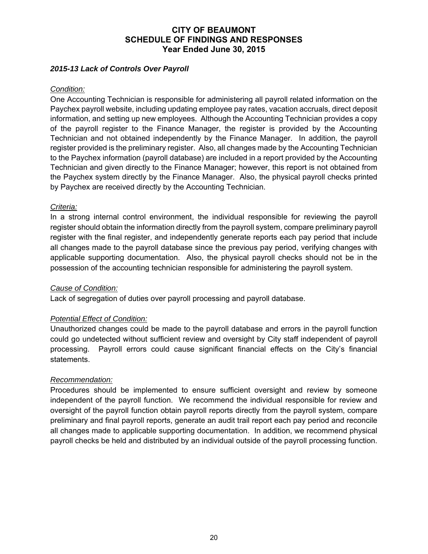## *2015-13 Lack of Controls Over Payroll*

## *Condition:*

One Accounting Technician is responsible for administering all payroll related information on the Paychex payroll website, including updating employee pay rates, vacation accruals, direct deposit information, and setting up new employees. Although the Accounting Technician provides a copy of the payroll register to the Finance Manager, the register is provided by the Accounting Technician and not obtained independently by the Finance Manager. In addition, the payroll register provided is the preliminary register. Also, all changes made by the Accounting Technician to the Paychex information (payroll database) are included in a report provided by the Accounting Technician and given directly to the Finance Manager; however, this report is not obtained from the Paychex system directly by the Finance Manager. Also, the physical payroll checks printed by Paychex are received directly by the Accounting Technician.

## *Criteria:*

In a strong internal control environment, the individual responsible for reviewing the payroll register should obtain the information directly from the payroll system, compare preliminary payroll register with the final register, and independently generate reports each pay period that include all changes made to the payroll database since the previous pay period, verifying changes with applicable supporting documentation. Also, the physical payroll checks should not be in the possession of the accounting technician responsible for administering the payroll system.

# *Cause of Condition:*

Lack of segregation of duties over payroll processing and payroll database.

#### *Potential Effect of Condition:*

Unauthorized changes could be made to the payroll database and errors in the payroll function could go undetected without sufficient review and oversight by City staff independent of payroll processing. Payroll errors could cause significant financial effects on the City's financial statements.

#### *Recommendation:*

Procedures should be implemented to ensure sufficient oversight and review by someone independent of the payroll function. We recommend the individual responsible for review and oversight of the payroll function obtain payroll reports directly from the payroll system, compare preliminary and final payroll reports, generate an audit trail report each pay period and reconcile all changes made to applicable supporting documentation. In addition, we recommend physical payroll checks be held and distributed by an individual outside of the payroll processing function.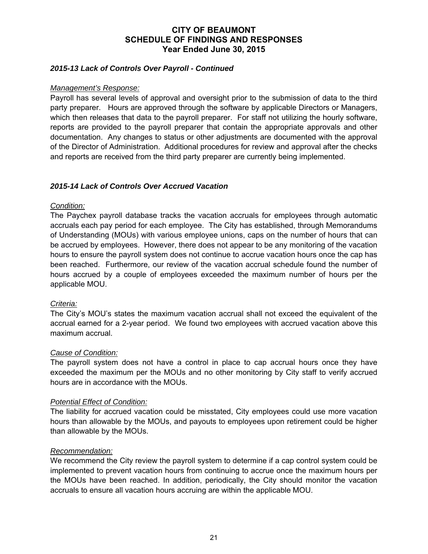## *2015-13 Lack of Controls Over Payroll - Continued*

### *Management's Response:*

Payroll has several levels of approval and oversight prior to the submission of data to the third party preparer. Hours are approved through the software by applicable Directors or Managers, which then releases that data to the payroll preparer. For staff not utilizing the hourly software, reports are provided to the payroll preparer that contain the appropriate approvals and other documentation. Any changes to status or other adjustments are documented with the approval of the Director of Administration. Additional procedures for review and approval after the checks and reports are received from the third party preparer are currently being implemented.

# *2015-14 Lack of Controls Over Accrued Vacation*

## *Condition:*

The Paychex payroll database tracks the vacation accruals for employees through automatic accruals each pay period for each employee. The City has established, through Memorandums of Understanding (MOUs) with various employee unions, caps on the number of hours that can be accrued by employees. However, there does not appear to be any monitoring of the vacation hours to ensure the payroll system does not continue to accrue vacation hours once the cap has been reached. Furthermore, our review of the vacation accrual schedule found the number of hours accrued by a couple of employees exceeded the maximum number of hours per the applicable MOU.

#### *Criteria:*

The City's MOU's states the maximum vacation accrual shall not exceed the equivalent of the accrual earned for a 2-year period. We found two employees with accrued vacation above this maximum accrual.

### *Cause of Condition:*

The payroll system does not have a control in place to cap accrual hours once they have exceeded the maximum per the MOUs and no other monitoring by City staff to verify accrued hours are in accordance with the MOUs.

### *Potential Effect of Condition:*

The liability for accrued vacation could be misstated, City employees could use more vacation hours than allowable by the MOUs, and payouts to employees upon retirement could be higher than allowable by the MOUs.

## *Recommendation:*

We recommend the City review the payroll system to determine if a cap control system could be implemented to prevent vacation hours from continuing to accrue once the maximum hours per the MOUs have been reached. In addition, periodically, the City should monitor the vacation accruals to ensure all vacation hours accruing are within the applicable MOU.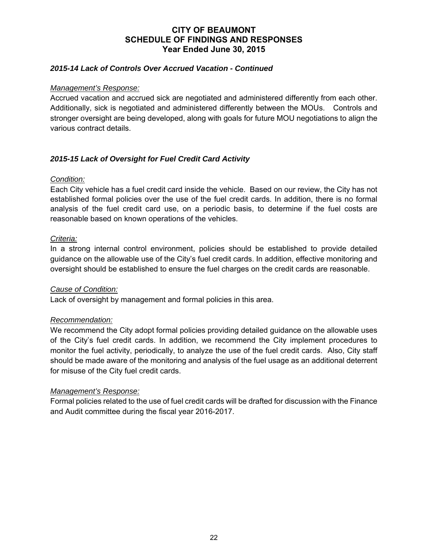## *2015-14 Lack of Controls Over Accrued Vacation - Continued*

### *Management's Response:*

Accrued vacation and accrued sick are negotiated and administered differently from each other. Additionally, sick is negotiated and administered differently between the MOUs. Controls and stronger oversight are being developed, along with goals for future MOU negotiations to align the various contract details.

# *2015-15 Lack of Oversight for Fuel Credit Card Activity*

## *Condition:*

Each City vehicle has a fuel credit card inside the vehicle. Based on our review, the City has not established formal policies over the use of the fuel credit cards. In addition, there is no formal analysis of the fuel credit card use, on a periodic basis, to determine if the fuel costs are reasonable based on known operations of the vehicles.

## *Criteria:*

In a strong internal control environment, policies should be established to provide detailed guidance on the allowable use of the City's fuel credit cards. In addition, effective monitoring and oversight should be established to ensure the fuel charges on the credit cards are reasonable.

#### *Cause of Condition:*

Lack of oversight by management and formal policies in this area.

#### *Recommendation:*

We recommend the City adopt formal policies providing detailed guidance on the allowable uses of the City's fuel credit cards. In addition, we recommend the City implement procedures to monitor the fuel activity, periodically, to analyze the use of the fuel credit cards. Also, City staff should be made aware of the monitoring and analysis of the fuel usage as an additional deterrent for misuse of the City fuel credit cards.

# *Management's Response:*

Formal policies related to the use of fuel credit cards will be drafted for discussion with the Finance and Audit committee during the fiscal year 2016-2017.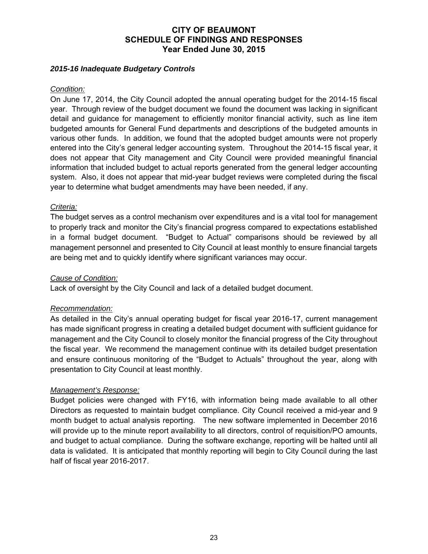### *2015-16 Inadequate Budgetary Controls*

# *Condition:*

On June 17, 2014, the City Council adopted the annual operating budget for the 2014-15 fiscal year. Through review of the budget document we found the document was lacking in significant detail and guidance for management to efficiently monitor financial activity, such as line item budgeted amounts for General Fund departments and descriptions of the budgeted amounts in various other funds. In addition, we found that the adopted budget amounts were not properly entered into the City's general ledger accounting system. Throughout the 2014-15 fiscal year, it does not appear that City management and City Council were provided meaningful financial information that included budget to actual reports generated from the general ledger accounting system. Also, it does not appear that mid-year budget reviews were completed during the fiscal year to determine what budget amendments may have been needed, if any.

# *Criteria:*

The budget serves as a control mechanism over expenditures and is a vital tool for management to properly track and monitor the City's financial progress compared to expectations established in a formal budget document. "Budget to Actual" comparisons should be reviewed by all management personnel and presented to City Council at least monthly to ensure financial targets are being met and to quickly identify where significant variances may occur.

# *Cause of Condition:*

Lack of oversight by the City Council and lack of a detailed budget document.

# *Recommendation:*

As detailed in the City's annual operating budget for fiscal year 2016-17, current management has made significant progress in creating a detailed budget document with sufficient guidance for management and the City Council to closely monitor the financial progress of the City throughout the fiscal year. We recommend the management continue with its detailed budget presentation and ensure continuous monitoring of the "Budget to Actuals" throughout the year, along with presentation to City Council at least monthly.

# *Management's Response:*

Budget policies were changed with FY16, with information being made available to all other Directors as requested to maintain budget compliance. City Council received a mid-year and 9 month budget to actual analysis reporting. The new software implemented in December 2016 will provide up to the minute report availability to all directors, control of requisition/PO amounts, and budget to actual compliance. During the software exchange, reporting will be halted until all data is validated. It is anticipated that monthly reporting will begin to City Council during the last half of fiscal year 2016-2017.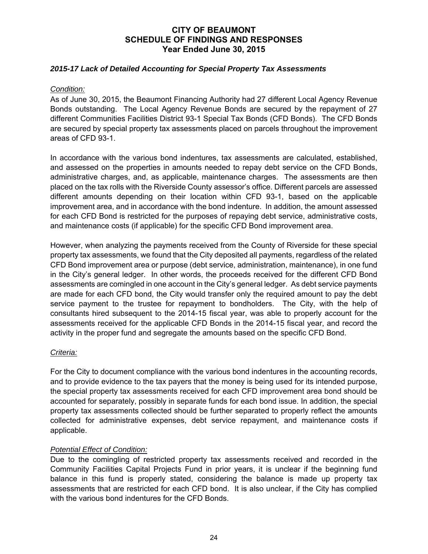## *2015-17 Lack of Detailed Accounting for Special Property Tax Assessments*

## *Condition:*

As of June 30, 2015, the Beaumont Financing Authority had 27 different Local Agency Revenue Bonds outstanding. The Local Agency Revenue Bonds are secured by the repayment of 27 different Communities Facilities District 93-1 Special Tax Bonds (CFD Bonds). The CFD Bonds are secured by special property tax assessments placed on parcels throughout the improvement areas of CFD 93-1.

In accordance with the various bond indentures, tax assessments are calculated, established, and assessed on the properties in amounts needed to repay debt service on the CFD Bonds, administrative charges, and, as applicable, maintenance charges. The assessments are then placed on the tax rolls with the Riverside County assessor's office. Different parcels are assessed different amounts depending on their location within CFD 93-1, based on the applicable improvement area, and in accordance with the bond indenture. In addition, the amount assessed for each CFD Bond is restricted for the purposes of repaying debt service, administrative costs, and maintenance costs (if applicable) for the specific CFD Bond improvement area.

However, when analyzing the payments received from the County of Riverside for these special property tax assessments, we found that the City deposited all payments, regardless of the related CFD Bond improvement area or purpose (debt service, administration, maintenance), in one fund in the City's general ledger. In other words, the proceeds received for the different CFD Bond assessments are comingled in one account in the City's general ledger. As debt service payments are made for each CFD bond, the City would transfer only the required amount to pay the debt service payment to the trustee for repayment to bondholders. The City, with the help of consultants hired subsequent to the 2014-15 fiscal year, was able to properly account for the assessments received for the applicable CFD Bonds in the 2014-15 fiscal year, and record the activity in the proper fund and segregate the amounts based on the specific CFD Bond.

# *Criteria:*

For the City to document compliance with the various bond indentures in the accounting records, and to provide evidence to the tax payers that the money is being used for its intended purpose, the special property tax assessments received for each CFD improvement area bond should be accounted for separately, possibly in separate funds for each bond issue. In addition, the special property tax assessments collected should be further separated to properly reflect the amounts collected for administrative expenses, debt service repayment, and maintenance costs if applicable.

# *Potential Effect of Condition:*

Due to the comingling of restricted property tax assessments received and recorded in the Community Facilities Capital Projects Fund in prior years, it is unclear if the beginning fund balance in this fund is properly stated, considering the balance is made up property tax assessments that are restricted for each CFD bond. It is also unclear, if the City has complied with the various bond indentures for the CFD Bonds.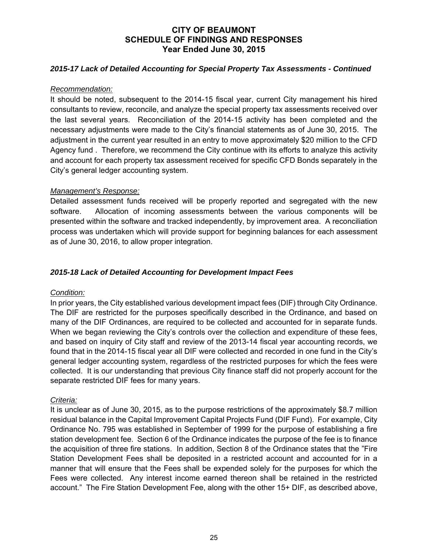## *2015-17 Lack of Detailed Accounting for Special Property Tax Assessments - Continued*

### *Recommendation:*

It should be noted, subsequent to the 2014-15 fiscal year, current City management his hired consultants to review, reconcile, and analyze the special property tax assessments received over the last several years. Reconciliation of the 2014-15 activity has been completed and the necessary adjustments were made to the City's financial statements as of June 30, 2015. The adjustment in the current year resulted in an entry to move approximately \$20 million to the CFD Agency fund . Therefore, we recommend the City continue with its efforts to analyze this activity and account for each property tax assessment received for specific CFD Bonds separately in the City's general ledger accounting system.

#### *Management's Response:*

Detailed assessment funds received will be properly reported and segregated with the new software. Allocation of incoming assessments between the various components will be presented within the software and tracked independently, by improvement area. A reconciliation process was undertaken which will provide support for beginning balances for each assessment as of June 30, 2016, to allow proper integration.

## *2015-18 Lack of Detailed Accounting for Development Impact Fees*

#### *Condition:*

In prior years, the City established various development impact fees (DIF) through City Ordinance. The DIF are restricted for the purposes specifically described in the Ordinance, and based on many of the DIF Ordinances, are required to be collected and accounted for in separate funds. When we began reviewing the City's controls over the collection and expenditure of these fees, and based on inquiry of City staff and review of the 2013-14 fiscal year accounting records, we found that in the 2014-15 fiscal year all DIF were collected and recorded in one fund in the City's general ledger accounting system, regardless of the restricted purposes for which the fees were collected. It is our understanding that previous City finance staff did not properly account for the separate restricted DIF fees for many years.

#### *Criteria:*

It is unclear as of June 30, 2015, as to the purpose restrictions of the approximately \$8.7 million residual balance in the Capital Improvement Capital Projects Fund (DIF Fund). For example, City Ordinance No. 795 was established in September of 1999 for the purpose of establishing a fire station development fee. Section 6 of the Ordinance indicates the purpose of the fee is to finance the acquisition of three fire stations. In addition, Section 8 of the Ordinance states that the "Fire Station Development Fees shall be deposited in a restricted account and accounted for in a manner that will ensure that the Fees shall be expended solely for the purposes for which the Fees were collected. Any interest income earned thereon shall be retained in the restricted account." The Fire Station Development Fee, along with the other 15+ DIF, as described above,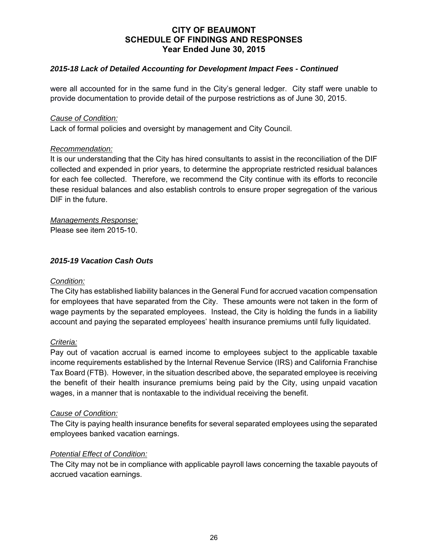### *2015-18 Lack of Detailed Accounting for Development Impact Fees - Continued*

were all accounted for in the same fund in the City's general ledger. City staff were unable to provide documentation to provide detail of the purpose restrictions as of June 30, 2015.

#### *Cause of Condition:*

Lack of formal policies and oversight by management and City Council.

#### *Recommendation:*

It is our understanding that the City has hired consultants to assist in the reconciliation of the DIF collected and expended in prior years, to determine the appropriate restricted residual balances for each fee collected. Therefore, we recommend the City continue with its efforts to reconcile these residual balances and also establish controls to ensure proper segregation of the various DIF in the future.

*Managements Response:*  Please see item 2015-10.

## *2015-19 Vacation Cash Outs*

#### *Condition:*

The City has established liability balances in the General Fund for accrued vacation compensation for employees that have separated from the City. These amounts were not taken in the form of wage payments by the separated employees. Instead, the City is holding the funds in a liability account and paying the separated employees' health insurance premiums until fully liquidated.

# *Criteria:*

Pay out of vacation accrual is earned income to employees subject to the applicable taxable income requirements established by the Internal Revenue Service (IRS) and California Franchise Tax Board (FTB). However, in the situation described above, the separated employee is receiving the benefit of their health insurance premiums being paid by the City, using unpaid vacation wages, in a manner that is nontaxable to the individual receiving the benefit.

#### *Cause of Condition:*

The City is paying health insurance benefits for several separated employees using the separated employees banked vacation earnings.

# *Potential Effect of Condition:*

The City may not be in compliance with applicable payroll laws concerning the taxable payouts of accrued vacation earnings.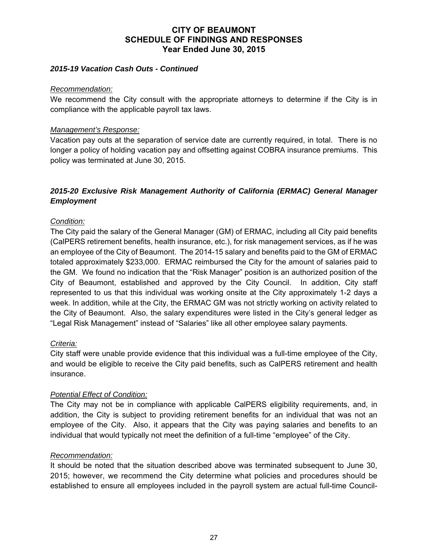## *2015-19 Vacation Cash Outs - Continued*

### *Recommendation:*

We recommend the City consult with the appropriate attorneys to determine if the City is in compliance with the applicable payroll tax laws.

### *Management's Response:*

Vacation pay outs at the separation of service date are currently required, in total. There is no longer a policy of holding vacation pay and offsetting against COBRA insurance premiums. This policy was terminated at June 30, 2015.

# *2015-20 Exclusive Risk Management Authority of California (ERMAC) General Manager Employment*

# *Condition:*

The City paid the salary of the General Manager (GM) of ERMAC, including all City paid benefits (CalPERS retirement benefits, health insurance, etc.), for risk management services, as if he was an employee of the City of Beaumont. The 2014-15 salary and benefits paid to the GM of ERMAC totaled approximately \$233,000. ERMAC reimbursed the City for the amount of salaries paid to the GM. We found no indication that the "Risk Manager" position is an authorized position of the City of Beaumont, established and approved by the City Council. In addition, City staff represented to us that this individual was working onsite at the City approximately 1-2 days a week. In addition, while at the City, the ERMAC GM was not strictly working on activity related to the City of Beaumont. Also, the salary expenditures were listed in the City's general ledger as "Legal Risk Management" instead of "Salaries" like all other employee salary payments.

# *Criteria:*

City staff were unable provide evidence that this individual was a full-time employee of the City, and would be eligible to receive the City paid benefits, such as CalPERS retirement and health insurance.

# *Potential Effect of Condition:*

The City may not be in compliance with applicable CalPERS eligibility requirements, and, in addition, the City is subject to providing retirement benefits for an individual that was not an employee of the City. Also, it appears that the City was paying salaries and benefits to an individual that would typically not meet the definition of a full-time "employee" of the City.

#### *Recommendation:*

It should be noted that the situation described above was terminated subsequent to June 30, 2015; however, we recommend the City determine what policies and procedures should be established to ensure all employees included in the payroll system are actual full-time Council-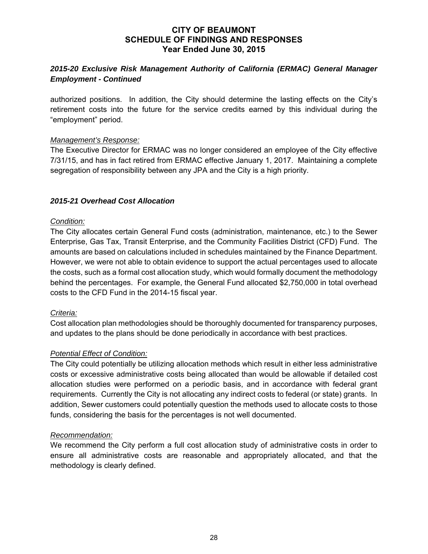# *2015-20 Exclusive Risk Management Authority of California (ERMAC) General Manager Employment - Continued*

authorized positions. In addition, the City should determine the lasting effects on the City's retirement costs into the future for the service credits earned by this individual during the "employment" period.

# *Management's Response:*

The Executive Director for ERMAC was no longer considered an employee of the City effective 7/31/15, and has in fact retired from ERMAC effective January 1, 2017. Maintaining a complete segregation of responsibility between any JPA and the City is a high priority.

## *2015-21 Overhead Cost Allocation*

## *Condition:*

The City allocates certain General Fund costs (administration, maintenance, etc.) to the Sewer Enterprise, Gas Tax, Transit Enterprise, and the Community Facilities District (CFD) Fund. The amounts are based on calculations included in schedules maintained by the Finance Department. However, we were not able to obtain evidence to support the actual percentages used to allocate the costs, such as a formal cost allocation study, which would formally document the methodology behind the percentages. For example, the General Fund allocated \$2,750,000 in total overhead costs to the CFD Fund in the 2014-15 fiscal year.

# *Criteria:*

Cost allocation plan methodologies should be thoroughly documented for transparency purposes, and updates to the plans should be done periodically in accordance with best practices.

# *Potential Effect of Condition:*

The City could potentially be utilizing allocation methods which result in either less administrative costs or excessive administrative costs being allocated than would be allowable if detailed cost allocation studies were performed on a periodic basis, and in accordance with federal grant requirements. Currently the City is not allocating any indirect costs to federal (or state) grants. In addition, Sewer customers could potentially question the methods used to allocate costs to those funds, considering the basis for the percentages is not well documented.

#### *Recommendation:*

We recommend the City perform a full cost allocation study of administrative costs in order to ensure all administrative costs are reasonable and appropriately allocated, and that the methodology is clearly defined.